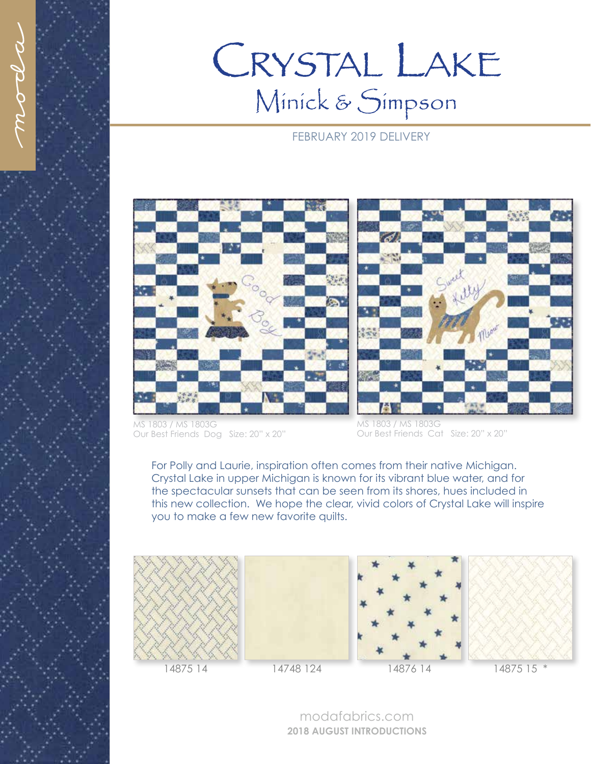## CRYSTAL LAKE Minick & Simpson

## FEBRUARY 2019 DELIVERY



MS 1803 / MS 1803G Our Best Friends Dog Size: 20" x 20"



MS 1803 / MS 1803G Our Best Friends Cat Size: 20" x 20"

For Polly and Laurie, inspiration often comes from their native Michigan. Crystal Lake in upper Michigan is known for its vibrant blue water, and for the spectacular sunsets that can be seen from its shores, hues included in this new collection. We hope the clear, vivid colors of Crystal Lake will inspire you to make a few new favorite quilts.











modafabrics.com **2018 AUGUST INTRODUCTIONS**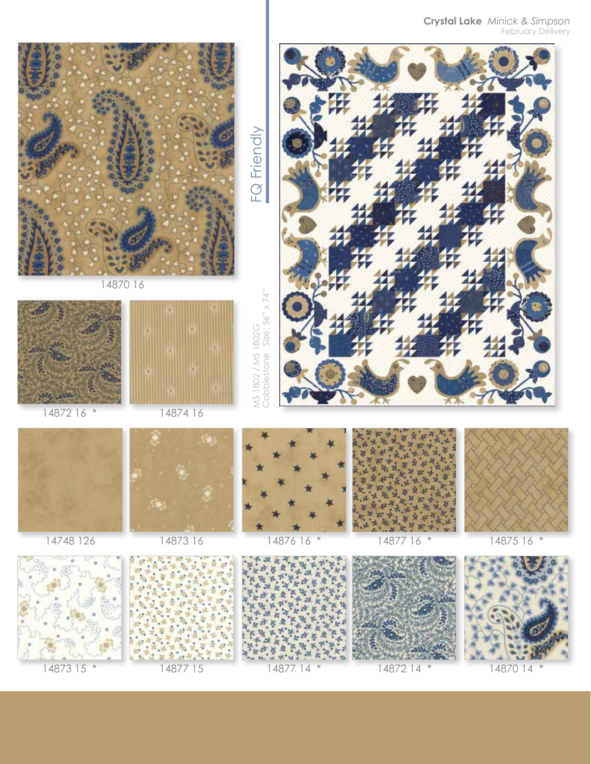**Crystal Lake** *Minick & Simpson* February Delivery



14870 16



14872 16 \*





14874 16

₩.





14748 126



14873 16 s3 ś 制  $\overline{a}$ ų,  $\frac{1}{4}$ ś 7 Ļ. S š ó Ņ **YC** ś ð  $\mathcal{L}$ 制 ś  $\mathfrak{h}$ Þ  $\mathcal{C}$ š ą  $\Phi$  $\boldsymbol{\theta}$ ¥. ¥ 地址 k, W. 平上 ø à  $(3 \cdot$ ¥  $\frac{1}{\sqrt{2}}$ 



 $\mathbf{u}$ 







MS 1802 / MS 1802G<br>Cobblestone Size: 56" x 74" Cobblestone Size: 56" x 74" MS 1802 / MS 1802G

FQ Friendly FQ Friendly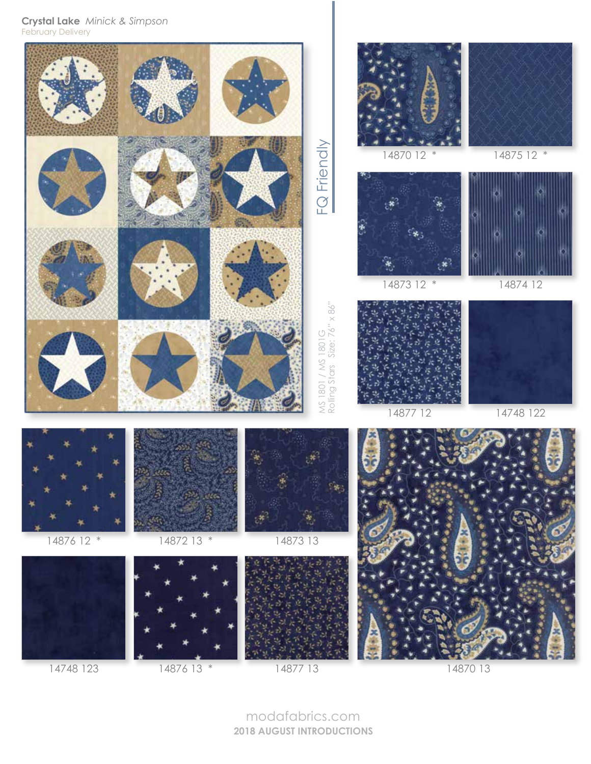**Crystal Lake** *Minick & Simpson* February Delivery



14748 123